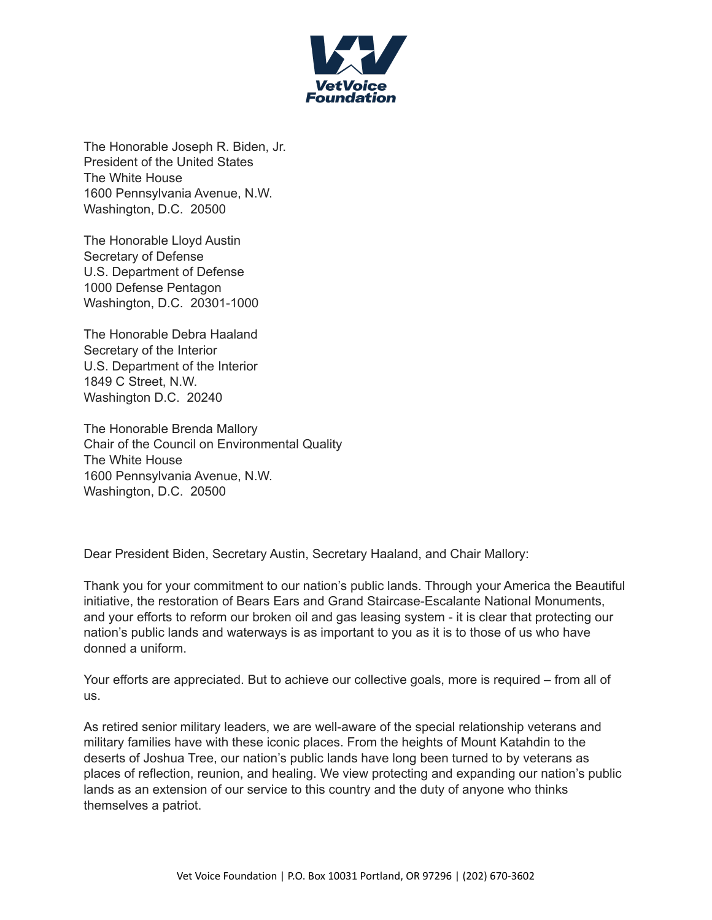

The Honorable Joseph R. Biden, Jr. President of the United States The White House 1600 Pennsylvania Avenue, N.W. Washington, D.C. 20500

The Honorable Lloyd Austin Secretary of Defense U.S. Department of Defense 1000 Defense Pentagon Washington, D.C. 20301-1000

The Honorable Debra Haaland Secretary of the Interior U.S. Department of the Interior 1849 C Street, N.W. Washington D.C. 20240

The Honorable Brenda Mallory Chair of the Council on Environmental Quality The White House 1600 Pennsylvania Avenue, N.W. Washington, D.C. 20500

Dear President Biden, Secretary Austin, Secretary Haaland, and Chair Mallory:

Thank you for your commitment to our nation's public lands. Through your America the Beautiful initiative, the restoration of Bears Ears and Grand Staircase-Escalante National Monuments, and your efforts to reform our broken oil and gas leasing system - it is clear that protecting our nation's public lands and waterways is as important to you as it is to those of us who have donned a uniform.

Your efforts are appreciated. But to achieve our collective goals, more is required – from all of us.

As retired senior military leaders, we are well-aware of the special relationship veterans and military families have with these iconic places. From the heights of Mount Katahdin to the deserts of Joshua Tree, our nation's public lands have long been turned to by veterans as places of reflection, reunion, and healing. We view protecting and expanding our nation's public lands as an extension of our service to this country and the duty of anyone who thinks themselves a patriot.